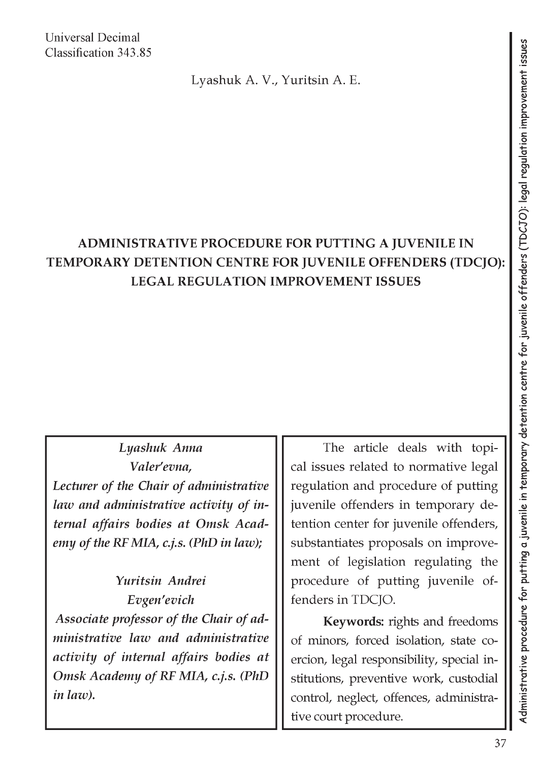Universal Decimal Classification 343.85

Lyashuk A. V., Yuritsin A. E.

## **ADMINISTRATIVE PROCEDURE FOR PUTTING A JUVENILE IN TEMPORARY DETENTION CENTRE FOR JUVENILE OFFENDERS (TDCJO): LEGAL REGULATION IMPROVEMENT ISSUES**

*Lyashuk Anna Valer'evna, Lecturer of the Chair of administrative law and administrative activity of internal affairs bodies at Omsk Academy of the RF MIA, c.j.s. (PhD in law);*

*Yuritsin Andrei Evgen'evich Associate professor of the Chair of administrative law and administrative activity of internal affairs bodies at Omsk Academy of RF MIA, c.j.s. (PhD in law).*

The article deals with topical issues related to normative legal regulation and procedure of putting juvenile offenders in temporary detention center for juvenile offenders, substantiates proposals on improvement of legislation regulating the procedure of putting juvenile offenders in TDCJO.

**Keywords:** rights and freedoms of minors, forced isolation, state coercion, legal responsibility, special institutions, preventive work, custodial control, neglect, offences, administrative court procedure.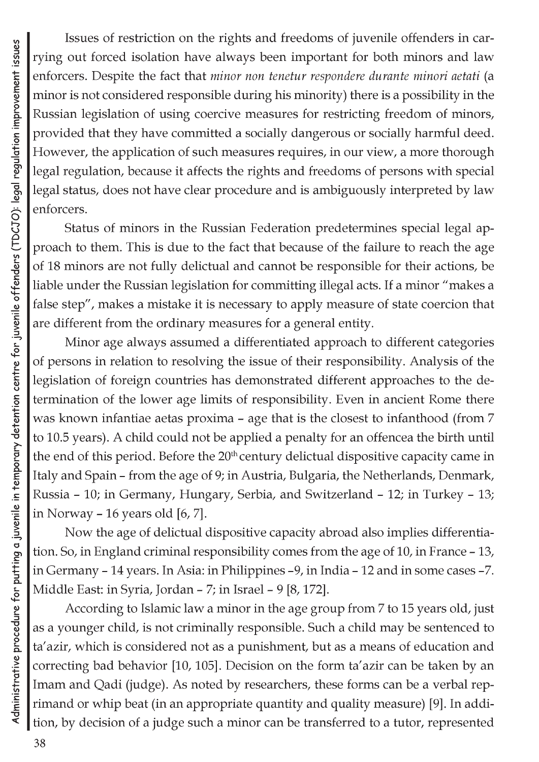Issues of restriction on the rights and freedoms of juvenile offenders in carrying out forced isolation have always been important for both minors and law enforcers. Despite the fact that *minor non tenetur respondere durante minori aetati* (a minor is not considered responsible during his minority) there is a possibility in the Russian legislation of using coercive measures for restricting freedom of minors, provided that they have committed a socially dangerous or socially harmful deed. However, the application of such measures requires, in our view, a more thorough legal regulation, because it affects the rights and freedoms of persons with special legal status, does not have clear procedure and is ambiguously interpreted by law enforcers.

Status of minors in the Russian Federation predetermines special legal approach to them. This is due to the fact that because of the failure to reach the age of 18 minors are not fully delictual and cannot be responsible for their actions, be liable under the Russian legislation for committing illegal acts. If a minor "makes a false step", makes a mistake it is necessary to apply measure of state coercion that are different from the ordinary measures for a general entity.

Minor age always assumed a differentiated approach to different categories of persons in relation to resolving the issue of their responsibility. Analysis of the legislation of foreign countries has demonstrated different approaches to the determination of the lower age limits of responsibility. Even in ancient Rome there was known infantiae aetas proxima - age that is the closest to infanthood (from 7 to 10.5 years). A child could not be applied a penalty for an offencea the birth until the end of this period. Before the 20<sup>th</sup> century delictual dispositive capacity came in Italy and Spain - from the age of 9; in Austria, Bulgaria, the Netherlands, Denmark, Russia - 10; in Germany, Hungary, Serbia, and Switzerland - 12; in Turkey - 13; in Norway  $-16$  years old  $[6, 7]$ .

Now the age of delictual dispositive capacity abroad also implies differentiation. So, in England criminal responsibility comes from the age of 10, in France - 13, in Germany - 14 years. In Asia: in Philippines -9, in India - 12 and in some cases -7. Middle East: in Syria, Jordan - 7; in Israel - 9 [8, 172].

According to Islamic law a minor in the age group from 7 to 15 years old, just as a younger child, is not criminally responsible. Such a child may be sentenced to ta'azir, which is considered not as a punishment, but as a means of education and correcting bad behavior [10, 105]. Decision on the form ta'azir can be taken by an Imam and Qadi (judge). As noted by researchers, these forms can be a verbal reprimand or whip beat (in an appropriate quantity and quality measure) [9]. In addition, by decision of a judge such a minor can be transferred to a tutor, represented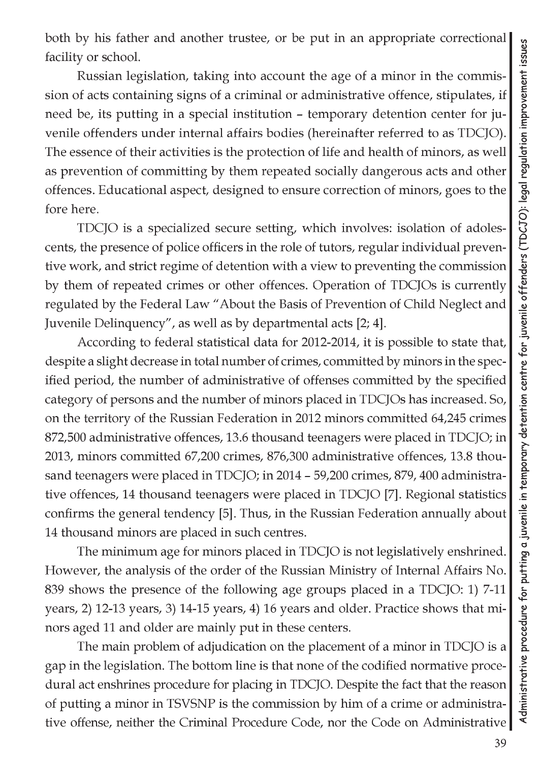both by his father and another trustee, or be put in an appropriate correctional facility or school.

Russian legislation, taking into account the age of a minor in the commission of acts containing signs of a criminal or administrative offence, stipulates, if need be, its putting in a special institution - temporary detention center for juvenile offenders under internal affairs bodies (hereinafter referred to as TDCJO). The essence of their activities is the protection of life and health of minors, as well as prevention of committing by them repeated socially dangerous acts and other offences. Educational aspect, designed to ensure correction of minors, goes to the fore here.

TDCJO is a specialized secure setting, which involves: isolation of adolescents, the presence of police officers in the role of tutors, regular individual preventive work, and strict regime of detention with a view to preventing the commission by them of repeated crimes or other offences. Operation of TDCJOs is currently regulated by the Federal Law "About the Basis of Prevention of Child Neglect and Juvenile Delinquency", as well as by departmental acts [2; 4].

According to federal statistical data for 2012-2014, it is possible to state that, despite a slight decrease in total number of crimes, committed by minors in the specified period, the number of administrative of offenses committed by the specified category of persons and the number of minors placed in TDCJOs has increased. So, on the territory of the Russian Federation in 2012 minors committed 64,245 crimes 872,500 administrative offences, 13.6 thousand teenagers were placed in TDCJO; in 2013, minors committed 67,200 crimes, 876,300 administrative offences, 13.8 thousand teenagers were placed in TDCJO; in 2014 - 59,200 crimes, 879, 400 administrative offences, 14 thousand teenagers were placed in TDCJO [7]. Regional statistics confirms the general tendency [5]. Thus, in the Russian Federation annually about 14 thousand minors are placed in such centres.

The minimum age for minors placed in TDCJO is not legislatively enshrined. However, the analysis of the order of the Russian Ministry of Internal Affairs No. 839 shows the presence of the following age groups placed in a TDCJO: 1) 7-11 years, 2) 12-13 years, 3) 14-15 years, 4) 16 years and older. Practice shows that minors aged 11 and older are mainly put in these centers.

The main problem of adjudication on the placement of a minor in TDCJO is a gap in the legislation. The bottom line is that none of the codified normative procedural act enshrines procedure for placing in TDCJO. Despite the fact that the reason of putting a minor in TSVSNP is the commission by him of a crime or administrative offense, neither the Criminal Procedure Code, nor the Code on Administrative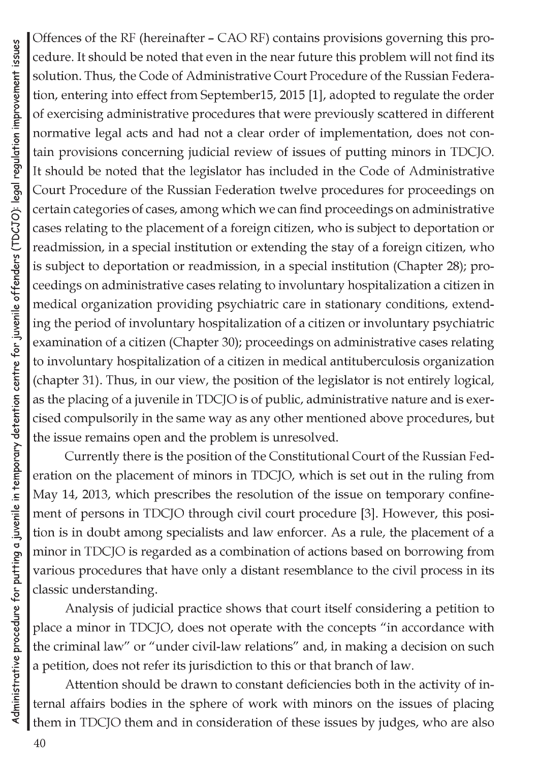Offences of the RF (hereinafter - CAO RF) contains provisions governing this procedure. It should be noted that even in the near future this problem will not find its solution. Thus, the Code of Administrative Court Procedure of the Russian Federation, entering into effect from September15, 2015 [1], adopted to regulate the order of exercising administrative procedures that were previously scattered in different normative legal acts and had not a clear order of implementation, does not contain provisions concerning judicial review of issues of putting minors in TDCJO. It should be noted that the legislator has included in the Code of Administrative Court Procedure of the Russian Federation twelve procedures for proceedings on certain categories of cases, among which we can find proceedings on administrative cases relating to the placement of a foreign citizen, who is subject to deportation or readmission, in a special institution or extending the stay of a foreign citizen, who is subject to deportation or readmission, in a special institution (Chapter 28); proceedings on administrative cases relating to involuntary hospitalization a citizen in medical organization providing psychiatric care in stationary conditions, extending the period of involuntary hospitalization of a citizen or involuntary psychiatric examination of a citizen (Chapter 30); proceedings on administrative cases relating to involuntary hospitalization of a citizen in medical antituberculosis organization (chapter 31). Thus, in our view, the position of the legislator is not entirely logical, as the placing of a juvenile in TDCJO is of public, administrative nature and is exercised compulsorily in the same way as any other mentioned above procedures, but the issue remains open and the problem is unresolved.

Currently there is the position of the Constitutional Court of the Russian Federation on the placement of minors in TDCJO, which is set out in the ruling from May 14, 2013, which prescribes the resolution of the issue on temporary confinement of persons in TDCJO through civil court procedure [3]. However, this position is in doubt among specialists and law enforcer. As a rule, the placement of a minor in TDCJO is regarded as a combination of actions based on borrowing from various procedures that have only a distant resemblance to the civil process in its classic understanding.

Analysis of judicial practice shows that court itself considering a petition to place a minor in TDCJO, does not operate with the concepts "in accordance with the criminal law" or "under civil-law relations" and, in making a decision on such a petition, does not refer its jurisdiction to this or that branch of law.

Attention should be drawn to constant deficiencies both in the activity of internal affairs bodies in the sphere of work with minors on the issues of placing them in TDCJO them and in consideration of these issues by judges, who are also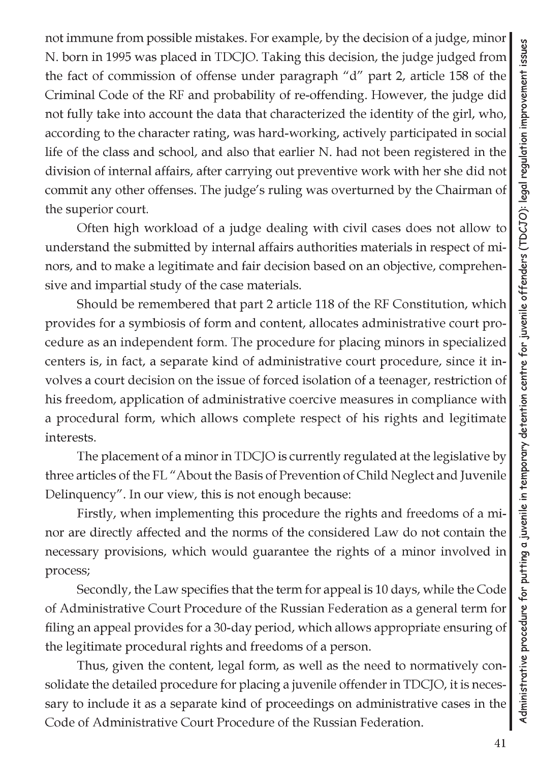not immune from possible mistakes. For example, by the decision of a judge, minor N. born in 1995 was placed in TDCJO. Taking this decision, the judge judged from the fact of commission of offense under paragraph "d" part 2, article 158 of the Criminal Code of the RF and probability of re-offending. However, the judge did not fully take into account the data that characterized the identity of the girl, who, according to the character rating, was hard-working, actively participated in social life of the class and school, and also that earlier N. had not been registered in the division of internal affairs, after carrying out preventive work with her she did not commit any other offenses. The judge's ruling was overturned by the Chairman of the superior court.

Often high workload of a judge dealing with civil cases does not allow to understand the submitted by internal affairs authorities materials in respect of minors, and to make a legitimate and fair decision based on an objective, comprehensive and impartial study of the case materials.

Should be remembered that part 2 article 118 of the RF Constitution, which provides for a symbiosis of form and content, allocates administrative court procedure as an independent form. The procedure for placing minors in specialized centers is, in fact, a separate kind of administrative court procedure, since it involves a court decision on the issue of forced isolation of a teenager, restriction of his freedom, application of administrative coercive measures in compliance with a procedural form, which allows complete respect of his rights and legitimate interests.

The placement of a minor in TDCJO is currently regulated at the legislative by three articles of the FL "About the Basis of Prevention of Child Neglect and Juvenile Delinquency". In our view, this is not enough because:

Firstly, when implementing this procedure the rights and freedoms of a minor are directly affected and the norms of the considered Law do not contain the necessary provisions, which would guarantee the rights of a minor involved in process;

Secondly, the Law specifies that the term for appeal is 10 days, while the Code of Administrative Court Procedure of the Russian Federation as a general term for filing an appeal provides for a 30-day period, which allows appropriate ensuring of the legitimate procedural rights and freedoms of a person.

Thus, given the content, legal form, as well as the need to normatively consolidate the detailed procedure for placing a juvenile offender in TDCJO, it is necessary to include it as a separate kind of proceedings on administrative cases in the Code of Administrative Court Procedure of the Russian Federation.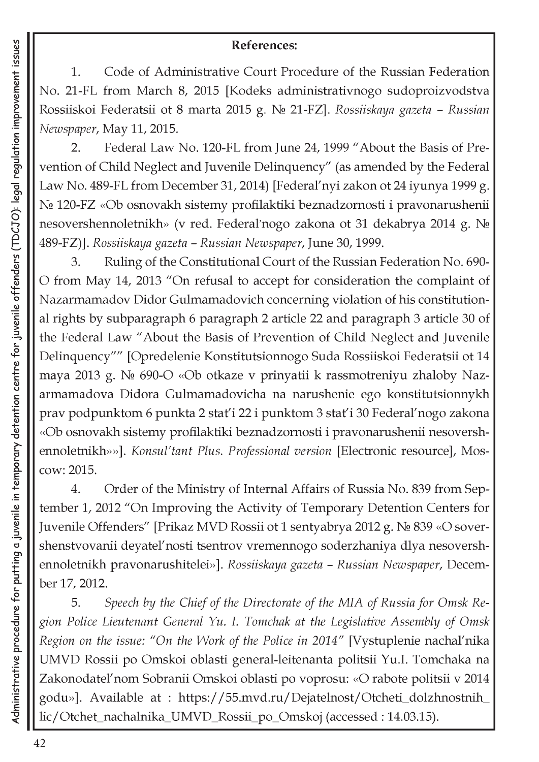## **References:**

1. Code of Administrative Court Procedure of the Russian Federation No. 21-FL from March 8, 2015 [Kodeks administrativnogo sudoproizvodstva Rossiiskoi Federatsii ot 8 marta 2015 g. Nq 21-FZ]. *Rossiiskaya gazeta - Russian Newspaper,* May 11, 2015.

2. Federal Law No. 120-FL from June 24, 1999 "About the Basis of Prevention of Child Neglect and Juvenile Delinquency" (as amended by the Federal Law No. 489-FL from December 31, 2014) [Federal'nyi zakon ot 24 iyunya 1999 g. No 120-FZ «Ob osnovakh sistemy profilaktiki beznadzornosti i pravonarushenii nesovershennoletnikh» (v red. Federal'nogo zakona ot 31 dekabrya 2014 g. N 489-FZ)]. *Rossiiskaya gazeta - Russian Newspaper,* June 30, 1999.

3. Ruling of the Constitutional Court of the Russian Federation No. 690- O from May 14, 2013 "On refusal to accept for consideration the complaint of Nazarmamadov Didor Gulmamadovich concerning violation of his constitutional rights by subparagraph 6 paragraph 2 article 22 and paragraph 3 article 30 of the Federal Law "About the Basis of Prevention of Child Neglect and Juvenile Delinquency"" [Opredelenie Konstitutsionnogo Suda Rossiiskoi Federatsii ot 14 maya 2013 g. No 690-O «Ob otkaze v prinyatii k rassmotreniyu zhaloby Nazarmamadova Didora Gulmamadovicha na narushenie ego konstitutsionnykh prav podpunktom 6 punkta 2 stat'i 22 i punktom 3 stat'i 30 Federal'nogo zakona «Ob osnovakh sistemy profilaktiki beznadzornosti i pravonarushenii nesovershennoletnikh»»]. *Konsul'tant Plus. Professional version* [Electronic resource], Moscow: 2015.

4. Order of the Ministry of Internal Affairs of Russia No. 839 from September 1, 2012 "On Improving the Activity of Temporary Detention Centers for Juvenile Offenders" [Prikaz MVD Rossii ot 1 sentyabrya 2012 g. No 839 «O sovershenstvovanii deyatel'nosti tsentrov vremennogo soderzhaniya dlya nesovershennoletnikh pravonarushitelei»]. *Rossiiskaya gazeta - Russian Newspaper,* December 17, 2012.

5. *Speech by the Chief of the Directorate of the MIA of Russia for Omsk Region Police Lieutenant General Yu. I. Tomchak at the Legislative Assembly of Omsk Region on the issue: "On the Work of the Police in 2014"* [Vystuplenie nachal'nika UMVD Rossii po Omskoi oblasti general-leitenanta politsii Yu.I. Tomchaka na Zakonodatel'nom Sobranii Omskoi oblasti po voprosu: «O rabote politsii v 2014 godu»]. Available at : [https://55.mvd.ru/Dejatelnost/Otcheti\\_dolzhnostnih\\_](https://55.mvd.ru/Dejatelnost/Otcheti_dolzhnostnih_) lic/Otchet\_nachalnika\_UMVD\_Rossii\_po\_Omskoj (accessed : 14.03.15).